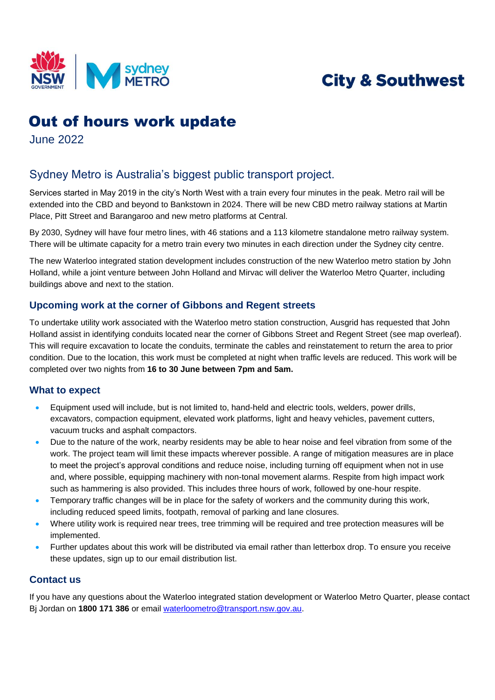

# **City & Southwest**

## Out of hours work update

June 2022

### Sydney Metro is Australia's biggest public transport project.

Services started in May 2019 in the city's North West with a train every four minutes in the peak. Metro rail will be extended into the CBD and beyond to Bankstown in 2024. There will be new CBD metro railway stations at Martin Place, Pitt Street and Barangaroo and new metro platforms at Central.

 By 2030, Sydney will have four metro lines, with 46 stations and a 113 kilometre standalone metro railway system. There will be ultimate capacity for a metro train every two minutes in each direction under the Sydney city centre.

The new Waterloo integrated station development includes construction of the new Waterloo metro station by John Holland, while a joint venture between John Holland and Mirvac will deliver the Waterloo Metro Quarter, including buildings above and next to the station.

#### **Upcoming work at the corner of Gibbons and Regent streets**

To undertake utility work associated with the Waterloo metro station construction, Ausgrid has requested that John Holland assist in identifying conduits located near the corner of Gibbons Street and Regent Street (see map overleaf). This will require excavation to locate the conduits, terminate the cables and reinstatement to return the area to prior condition. Due to the location, this work must be completed at night when traffic levels are reduced. This work will be completed over two nights from **16 to 30 June between 7pm and 5am.** 

#### **What to expect**

- Equipment used will include, but is not limited to, hand-held and electric tools, welders, power drills, excavators, compaction equipment, elevated work platforms, light and heavy vehicles, pavement cutters, vacuum trucks and asphalt compactors.
- Due to the nature of the work, nearby residents may be able to hear noise and feel vibration from some of the work. The project team will limit these impacts wherever possible. A range of mitigation measures are in place to meet the project's approval conditions and reduce noise, including turning off equipment when not in use and, where possible, equipping machinery with non-tonal movement alarms. Respite from high impact work such as hammering is also provided. This includes three hours of work, followed by one-hour respite.
- Temporary traffic changes will be in place for the safety of workers and the community during this work, including reduced speed limits, footpath, removal of parking and lane closures.
- Where utility work is required near trees, tree trimming will be required and tree protection measures will be implemented.
- Further updates about this work will be distributed via email rather than letterbox drop. To ensure you receive these updates, sign up to our email distribution list.

#### **Contact us**

If you have any questions about the Waterloo integrated station development or Waterloo Metro Quarter, please contact Bj Jordan on **1800 171 386** or email [waterloometro@transport.nsw.gov.au.](mailto:waterloometro@transport.nsw.gov.au)